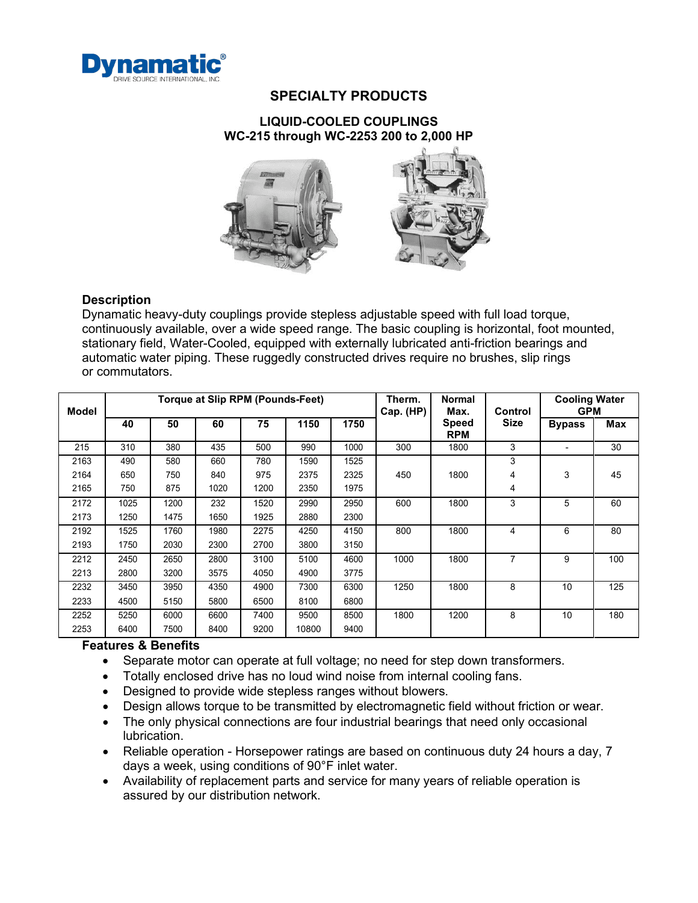

# **SPECIALTY PRODUCTS**

### **LIQUID-COOLED COUPLINGS WC-215 through WC-2253 200 to 2,000 HP**



### **Description**

Dynamatic heavy-duty couplings provide stepless adjustable speed with full load torque, continuously available, over a wide speed range. The basic coupling is horizontal, foot mounted, stationary field, Water-Cooled, equipped with externally lubricated anti-friction bearings and automatic water piping. These ruggedly constructed drives require no brushes, slip rings or commutators.

| Model |      |      |      | Torque at Slip RPM (Pounds-Feet) |       | Therm.<br>Cap. (HP) | <b>Normal</b><br>Max. | Control                    | <b>Cooling Water</b><br><b>GPM</b> |               |     |
|-------|------|------|------|----------------------------------|-------|---------------------|-----------------------|----------------------------|------------------------------------|---------------|-----|
|       | 40   | 50   | 60   | 75                               | 1150  | 1750                |                       | <b>Speed</b><br><b>RPM</b> | <b>Size</b>                        | <b>Bypass</b> | Max |
| 215   | 310  | 380  | 435  | 500                              | 990   | 1000                | 300                   | 1800                       | 3                                  |               | 30  |
| 2163  | 490  | 580  | 660  | 780                              | 1590  | 1525                |                       |                            | 3                                  |               |     |
| 2164  | 650  | 750  | 840  | 975                              | 2375  | 2325                | 450                   | 1800                       | 4                                  | 3             | 45  |
| 2165  | 750  | 875  | 1020 | 1200                             | 2350  | 1975                |                       |                            | 4                                  |               |     |
| 2172  | 1025 | 1200 | 232  | 1520                             | 2990  | 2950                | 600                   | 1800                       | 3                                  | 5             | 60  |
| 2173  | 1250 | 1475 | 1650 | 1925                             | 2880  | 2300                |                       |                            |                                    |               |     |
| 2192  | 1525 | 1760 | 1980 | 2275                             | 4250  | 4150                | 800                   | 1800                       | 4                                  | 6             | 80  |
| 2193  | 1750 | 2030 | 2300 | 2700                             | 3800  | 3150                |                       |                            |                                    |               |     |
| 2212  | 2450 | 2650 | 2800 | 3100                             | 5100  | 4600                | 1000                  | 1800                       | $\overline{7}$                     | 9             | 100 |
| 2213  | 2800 | 3200 | 3575 | 4050                             | 4900  | 3775                |                       |                            |                                    |               |     |
| 2232  | 3450 | 3950 | 4350 | 4900                             | 7300  | 6300                | 1250                  | 1800                       | 8                                  | 10            | 125 |
| 2233  | 4500 | 5150 | 5800 | 6500                             | 8100  | 6800                |                       |                            |                                    |               |     |
| 2252  | 5250 | 6000 | 6600 | 7400                             | 9500  | 8500                | 1800                  | 1200                       | 8                                  | 10            | 180 |
| 2253  | 6400 | 7500 | 8400 | 9200                             | 10800 | 9400                |                       |                            |                                    |               |     |

## **Features & Benefits**

- Separate motor can operate at full voltage; no need for step down transformers.
- Totally enclosed drive has no loud wind noise from internal cooling fans.
- Designed to provide wide stepless ranges without blowers.
- Design allows torque to be transmitted by electromagnetic field without friction or wear.
- The only physical connections are four industrial bearings that need only occasional lubrication.
- Reliable operation Horsepower ratings are based on continuous duty 24 hours a day, 7 days a week, using conditions of 90°F inlet water.
- Availability of replacement parts and service for many years of reliable operation is assured by our distribution network.